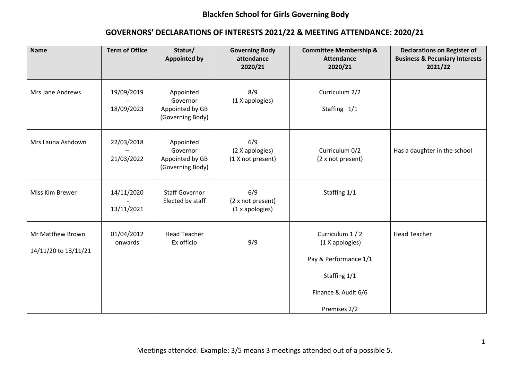| <b>Name</b>                              | <b>Term of Office</b>    | Status/<br><b>Appointed by</b>                               | <b>Governing Body</b><br>attendance<br>2020/21 | <b>Committee Membership &amp;</b><br><b>Attendance</b><br>2020/21                                                   | <b>Declarations on Register of</b><br><b>Business &amp; Pecuniary Interests</b><br>2021/22 |
|------------------------------------------|--------------------------|--------------------------------------------------------------|------------------------------------------------|---------------------------------------------------------------------------------------------------------------------|--------------------------------------------------------------------------------------------|
| Mrs Jane Andrews                         | 19/09/2019<br>18/09/2023 | Appointed<br>Governor<br>Appointed by GB<br>(Governing Body) | 8/9<br>(1 X apologies)                         | Curriculum 2/2<br>Staffing 1/1                                                                                      |                                                                                            |
| Mrs Launa Ashdown                        | 22/03/2018<br>21/03/2022 | Appointed<br>Governor<br>Appointed by GB<br>(Governing Body) | 6/9<br>(2 X apologies)<br>(1 X not present)    | Curriculum 0/2<br>(2 x not present)                                                                                 | Has a daughter in the school                                                               |
| Miss Kim Brewer                          | 14/11/2020<br>13/11/2021 | <b>Staff Governor</b><br>Elected by staff                    | 6/9<br>(2 x not present)<br>(1 x apologies)    | Staffing 1/1                                                                                                        |                                                                                            |
| Mr Matthew Brown<br>14/11/20 to 13/11/21 | 01/04/2012<br>onwards    | <b>Head Teacher</b><br>Ex officio                            | 9/9                                            | Curriculum 1 / 2<br>(1 X apologies)<br>Pay & Performance 1/1<br>Staffing 1/1<br>Finance & Audit 6/6<br>Premises 2/2 | <b>Head Teacher</b>                                                                        |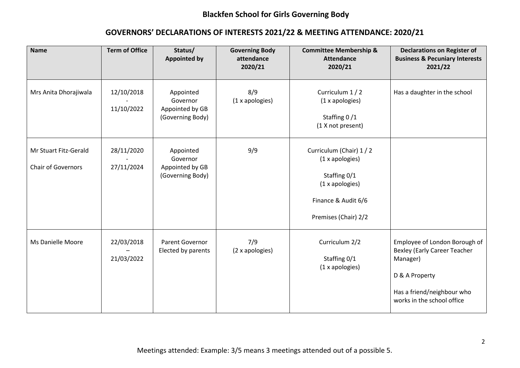| <b>Name</b>                                        | <b>Term of Office</b>    | Status/<br><b>Appointed by</b>                               | <b>Governing Body</b><br>attendance<br>2020/21 | <b>Committee Membership &amp;</b><br><b>Attendance</b><br>2020/21                                                             | <b>Declarations on Register of</b><br><b>Business &amp; Pecuniary Interests</b><br>2021/22                                                                     |
|----------------------------------------------------|--------------------------|--------------------------------------------------------------|------------------------------------------------|-------------------------------------------------------------------------------------------------------------------------------|----------------------------------------------------------------------------------------------------------------------------------------------------------------|
| Mrs Anita Dhorajiwala                              | 12/10/2018<br>11/10/2022 | Appointed<br>Governor<br>Appointed by GB<br>(Governing Body) | 8/9<br>(1 x apologies)                         | Curriculum 1 / 2<br>(1 x apologies)<br>Staffing 0/1<br>(1 X not present)                                                      | Has a daughter in the school                                                                                                                                   |
| Mr Stuart Fitz-Gerald<br><b>Chair of Governors</b> | 28/11/2020<br>27/11/2024 | Appointed<br>Governor<br>Appointed by GB<br>(Governing Body) | 9/9                                            | Curriculum (Chair) 1 / 2<br>(1 x apologies)<br>Staffing 0/1<br>(1 x apologies)<br>Finance & Audit 6/6<br>Premises (Chair) 2/2 |                                                                                                                                                                |
| Ms Danielle Moore                                  | 22/03/2018<br>21/03/2022 | Parent Governor<br>Elected by parents                        | 7/9<br>(2 x apologies)                         | Curriculum 2/2<br>Staffing 0/1<br>(1 x apologies)                                                                             | Employee of London Borough of<br><b>Bexley (Early Career Teacher</b><br>Manager)<br>D & A Property<br>Has a friend/neighbour who<br>works in the school office |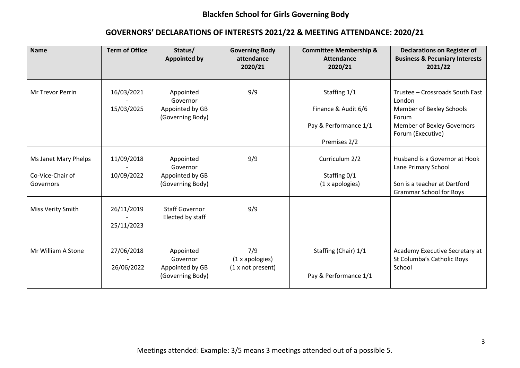| <b>Name</b>                                           | <b>Term of Office</b>    | Status/<br><b>Appointed by</b>                               | <b>Governing Body</b><br>attendance<br>2020/21 | <b>Committee Membership &amp;</b><br><b>Attendance</b><br>2020/21            | <b>Declarations on Register of</b><br><b>Business &amp; Pecuniary Interests</b><br>2021/22                                        |
|-------------------------------------------------------|--------------------------|--------------------------------------------------------------|------------------------------------------------|------------------------------------------------------------------------------|-----------------------------------------------------------------------------------------------------------------------------------|
| Mr Trevor Perrin                                      | 16/03/2021<br>15/03/2025 | Appointed<br>Governor<br>Appointed by GB<br>(Governing Body) | 9/9                                            | Staffing 1/1<br>Finance & Audit 6/6<br>Pay & Performance 1/1<br>Premises 2/2 | Trustee - Crossroads South East<br>London<br>Member of Bexley Schools<br>Forum<br>Member of Bexley Governors<br>Forum (Executive) |
| Ms Janet Mary Phelps<br>Co-Vice-Chair of<br>Governors | 11/09/2018<br>10/09/2022 | Appointed<br>Governor<br>Appointed by GB<br>(Governing Body) | 9/9                                            | Curriculum 2/2<br>Staffing 0/1<br>(1 x apologies)                            | Husband is a Governor at Hook<br>Lane Primary School<br>Son is a teacher at Dartford<br><b>Grammar School for Boys</b>            |
| Miss Verity Smith                                     | 26/11/2019<br>25/11/2023 | <b>Staff Governor</b><br>Elected by staff                    | 9/9                                            |                                                                              |                                                                                                                                   |
| Mr William A Stone                                    | 27/06/2018<br>26/06/2022 | Appointed<br>Governor<br>Appointed by GB<br>(Governing Body) | 7/9<br>(1 x 1 x 1)<br>(1 x not present)        | Staffing (Chair) 1/1<br>Pay & Performance 1/1                                | Academy Executive Secretary at<br>St Columba's Catholic Boys<br>School                                                            |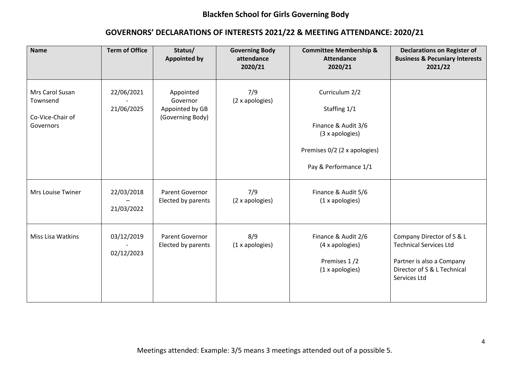| <b>Name</b>                                                  | <b>Term of Office</b>    | Status/<br><b>Appointed by</b>                               | <b>Governing Body</b><br>attendance<br>2020/21 | <b>Committee Membership &amp;</b><br><b>Attendance</b><br>2020/21                                                                 | <b>Declarations on Register of</b><br><b>Business &amp; Pecuniary Interests</b><br>2021/22                                             |
|--------------------------------------------------------------|--------------------------|--------------------------------------------------------------|------------------------------------------------|-----------------------------------------------------------------------------------------------------------------------------------|----------------------------------------------------------------------------------------------------------------------------------------|
| Mrs Carol Susan<br>Townsend<br>Co-Vice-Chair of<br>Governors | 22/06/2021<br>21/06/2025 | Appointed<br>Governor<br>Appointed by GB<br>(Governing Body) | 7/9<br>(2 x apologies)                         | Curriculum 2/2<br>Staffing 1/1<br>Finance & Audit 3/6<br>(3 x apologies)<br>Premises 0/2 (2 x apologies)<br>Pay & Performance 1/1 |                                                                                                                                        |
| <b>Mrs Louise Twiner</b>                                     | 22/03/2018<br>21/03/2022 | Parent Governor<br>Elected by parents                        | 7/9<br>(2 x apologies)                         | Finance & Audit 5/6<br>(1 x apologies)                                                                                            |                                                                                                                                        |
| Miss Lisa Watkins                                            | 03/12/2019<br>02/12/2023 | Parent Governor<br>Elected by parents                        | 8/9<br>(1 x apologies)                         | Finance & Audit 2/6<br>(4 x apologies)<br>Premises 1/2<br>(1 x apologies)                                                         | Company Director of S & L<br><b>Technical Services Ltd</b><br>Partner is also a Company<br>Director of S & L Technical<br>Services Ltd |